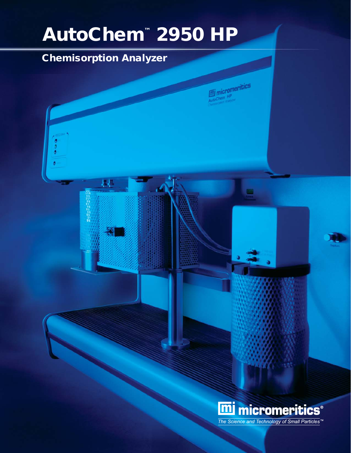# AutoChem™ 2950 HP

# Chemisorption Analyzer

林

micromeritics

Œ

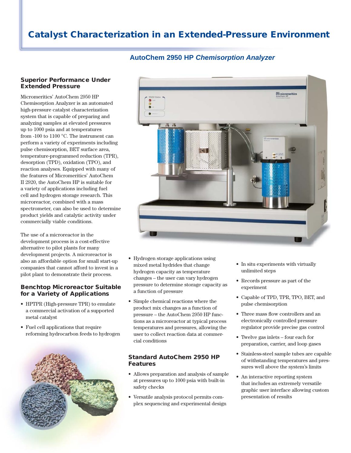# Catalyst Characterization in an Extended-Pressure Environment

## **AutoChem 2950 HP** *Chemisorption Analyzer*

#### Superior Performance Under Extended Pressure

Micromeritics' AutoChem 2950 HP Chemisorption Analyzer is an automated high-pressure catalyst characterization system that is capable of preparing and analyzing samples at elevated pressures up to 1000 psia and at temperatures from -100 to 1100 °C. The instrument can perform a variety of experiments including pulse chemisorption, BET surface area, temperature-programmed reduction (TPR), desorption (TPD), oxidation (TPO), and reaction analyses. Equipped with many of the features of Micromeritics' AutoChem II 2920, the AutoChem HP is suitable for a variety of applications including fuel cell and hydrogen storage research. This microreactor, combined with a mass spectrometer, can also be used to determine product yields and catalytic activity under commercially viable conditions.

The use of a microreactor in the development process is a cost-effective alternative to pilot plants for many development projects. A microreactor is also an affordable option for small start-up companies that cannot afford to invest in a pilot plant to demonstrate their process.

#### Benchtop Microreactor Suitable for a Variety of Applications

- HPTPR (High-pressure TPR) to emulate a commercial activation of a supported metal catalyst
- Fuel cell applications that require reforming hydrocarbon feeds to hydrogen





- Hydrogen storage applications using mixed metal hydrides that change hydrogen capacity as temperature changes – the user can vary hydrogen pressure to determine storage capacity as a function of pressure
- Simple chemical reactions where the product mix changes as a function of pressure – the AutoChem 2950 HP functions as a microreactor at typical process temperatures and pressures, allowing the user to collect reaction data at commercial conditions

## Standard AutoChem 2950 HP Features

- Allows preparation and analysis of sample at pressures up to 1000 psia with built-in safety checks
- Versatile analysis protocol permits complex sequencing and experimental design
- In situ experiments with virtually unlimited steps
- Records pressure as part of the experiment
- Capable of TPD, TPR, TPO, BET, and pulse chemisorption
- Three mass flow controllers and an electronically controlled pressure regulator provide precise gas control
- Twelve gas inlets four each for preparation, carrier, and loop gases
- Stainless-steel sample tubes are capable of withstanding temperatures and pressures well above the system's limits
- An interactive reporting system that includes an extremely versatile graphic user interface allowing custom presentation of results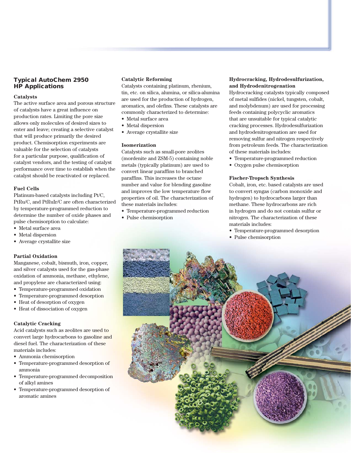### Typical AutoChem 2950 HP Applications

#### **Catalysts**

The active surface area and porous structure of catalysts have a great influence on production rates. Limiting the pore size allows only molecules of desired sizes to enter and leave; creating a selective catalyst that will produce primarily the desired product. Chemisorption experiments are valuable for the selection of catalysts for a particular purpose, qualification of catalyst vendors, and the testing of catalyst performance over time to establish when the catalyst should be reactivated or replaced.

#### **Fuel Cells**

Platinum-based catalysts including Pt/C, PtRu/C, and PtRuIr/C are often characterized by temperature-programmed reduction to determine the number of oxide phases and pulse chemisorption to calculate:

- Metal surface area
- Metal dispersion
- Average crystallite size

#### **Partial Oxidation**

Manganese, cobalt, bismuth, iron, copper, and silver catalysts used for the gas-phase oxidation of ammonia, methane, ethylene, and propylene are characterized using:

- Temperature-programmed oxidation
- Temperature-programmed desorption
- Heat of desorption of oxygen
- Heat of dissociation of oxygen

#### **Catalytic Cracking**

Acid catalysts such as zeolites are used to convert large hydrocarbons to gasoline and diesel fuel. The characterization of these materials includes:

- Ammonia chemisorption
- Temperature-programmed desorption of ammonia
- Temperature-programmed decomposition of alkyl amines
- Temperature-programmed desorption of aromatic amines

#### **Catalytic Reforming**

Catalysts containing platinum, rhenium, tin, etc. on silica, alumina, or silica-alumina are used for the production of hydrogen, aromatics, and olefins. These catalysts are commonly characterized to determine:

- Metal surface area
- Metal dispersion
- Average crystallite size

#### **Isomerization**

Catalysts such as small-pore zeolites (mordenite and ZSM-5) containing noble metals (typically platinum) are used to convert linear paraffins to branched paraffins. This increases the octane number and value for blending gasoline and improves the low temperature flow properties of oil. The characterization of these materials includes:

- Temperature-programmed reduction
- Pulse chemisorption

#### **Hydrocracking, Hydrodesulfurization, and Hydrodenitrogenation**

Hydrocracking catalysts typically composed of metal sulfides (nickel, tungsten, cobalt, and molybdenum) are used for processing feeds containing polycyclic aromatics that are unsuitable for typical catalytic cracking processes. Hydrodesulfurization and hydrodenitrogenation are used for removing sulfur and nitrogen respectively from petroleum feeds. The characterization of these materials includes:

- Temperature-programmed reduction
- Oxygen pulse chemisorption

#### **Fischer-Tropsch Synthesis**

Cobalt, iron, etc. based catalysts are used to convert syngas (carbon monoxide and hydrogen) to hydrocarbons larger than methane. These hydrocarbons are rich in hydrogen and do not contain sulfur or nitrogen. The characterization of these materials includes:

- Temperature-programmed desorption
- Pulse chemisorption

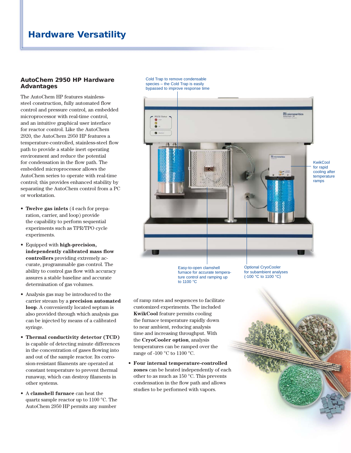# Hardware Versatility

#### AutoChem 2950 HP Hardware Advantages

The AutoChem HP features stainlesssteel construction, fully automated flow control and pressure control, an embedded microprocessor with real-time control, and an intuitive graphical user interface for reactor control. Like the AutoChem 2920, the AutoChem 2950 HP features a temperature-controlled, stainless-steel flow path to provide a stable inert operating environment and reduce the potential for condensation in the flow path. The embedded microprocessor allows the AutoChem series to operate with real-time control; this provides enhanced stability by separating the AutoChem control from a PC or workstation.

- **Twelve gas inlets** (4 each for preparation, carrier, and loop) provide the capability to perform sequential experiments such as TPR/TPO cycle experiments.
- Equipped with **high-precision,**  independently calibrated mass flow **controllers** providing extremely accurate, programmable gas control. The ability to control gas flow with accuracy assures a stable baseline and accurate determination of gas volumes.
- Analysis gas may be introduced to the carrier stream by a **precision automated loop**. A conveniently located septum is also provided through which analysis gas can be injected by means of a calibrated syringe.
- **Thermal conductivity detector (TCD)** is capable of detecting minute differences in the concentration of gases flowing into and out of the sample reactor. Its corrosion-resistant filaments are operated at constant temperature to prevent thermal runaway, which can destroy filaments in other systems.
- A **clamshell furnace** can heat the quartz sample reactor up to 1100 °C. The AutoChem 2950 HP permits any number

Cold Trap to remove condensable species – the Cold Trap is easily bypassed to improve response time



Easy-to-open clamshell furnace for accurate temperature control and ramping up to 1100 °C

Optional CryoCooler for subambient analyses (-100 °C to 1100 °C)

of ramp rates and sequences to facilitate customized experiments. The included **KwikCool** feature permits cooling the furnace temperature rapidly down to near ambient, reducing analysis time and increasing throughput. With the **CryoCooler option**, analysis temperatures can be ramped over the range of -100 °C to 1100 °C.

**• Four internal temperature-controlled zones** can be heated independently of each other to as much as 150 °C. This prevents condensation in the flow path and allows studies to be performed with vapors.

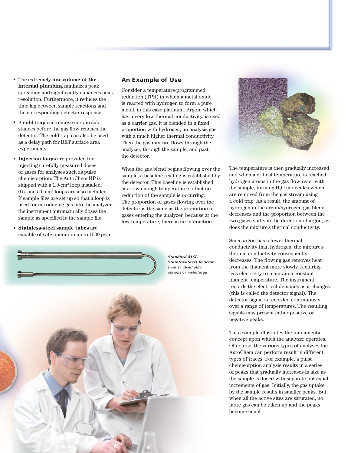- The extremely **low volume of the internal plumbing** minimizes peak spreading and significantly enhances peak resolution. Furthermore, it reduces the time lag between sample reactions and the corresponding detector response.
- A **cold trap** can remove certain substances before the gas flow reaches the detector. The cold trap can also be used as a delay path for BET surface area experiments.
- **Injection loops** are provided for injecting carefully measured doses of gases for analyses such as pulse chemisorption. The AutoChem HP is shipped with a 1.0-cm<sup>3</sup> loop installed; 0.5- and 5.0-cm3 loops are also included. If sample files are set up so that a loop is used for introducing gas into the analyzer, the instrument automatically doses the sample as specified in the sample file.
- **Stainless-steel sample tubes** are capable of safe operation up to 1500 psia

#### An Example of Use

Consider a temperature-programmed reduction (TPR) in which a metal oxide is reacted with hydrogen to form a pure metal, in this case platinum. Argon, which has a very low thermal conductivity, is used as a carrier gas. It is blended in a fixed proportion with hydrogen, an analysis gas with a much higher thermal conductivity. Then the gas mixture flows through the analyzer, through the sample, and past the detector.

When the gas blend begins flowing over the sample, a baseline reading is established by the detector. This baseline is established at a low enough temperature so that no reduction of the sample is occurring. The proportion of gases flowing over the detector is the same as the proportion of gases entering the analyzer, because at the low temperature, there is no interaction.



The temperature is then gradually increased and when a critical temperature is reached, hydrogen atoms in the gas flow react with the sample, forming  $\mathrm{H}_{2}\mathrm{O}$  molecules which are removed from the gas stream using a cold trap. As a result, the amount of hydrogen in the argon/hydrogen gas blend decreases and the proportion between the two gases shifts in the direction of argon, as does the mixture's thermal conductivity.

Since argon has a lower thermal conductivity than hydrogen, the mixture's thermal conductivity consequently decreases. The flowing gas removes heat from the filament more slowly, requiring less electricity to maintain a constant filament temperature. The instrument records the electrical demands as it changes (this is called the detector signal). The detector signal is recorded continuously over a range of temperatures. The resulting signals may present either positive or negative peaks.

This example illustrates the fundamental concept upon which the analyzer operates. Of course, the various types of analyses the AutoChem can perform result in different types of traces. For example, a pulse chemisorption analysis results in a series of peaks that gradually increases in size as the sample is dosed with separate but equal increments of gas. Initially, the gas uptake by the sample results in smaller peaks. But when all the active sites are saturated, no more gas can be taken up and the peaks become equal.

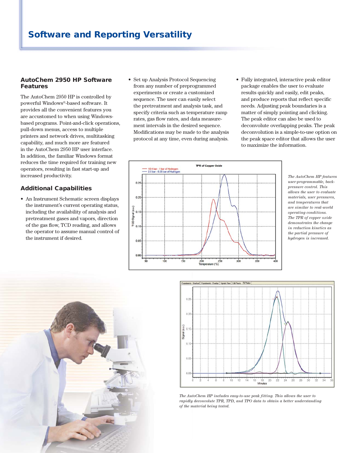#### AutoChem 2950 HP Software Features

The AutoChem 2950 HP is controlled by powerful Windows®-based software. It provides all the convenient features you are accustomed to when using Windowsbased programs. Point-and-click operations, pull-down menus, access to multiple printers and network drives, multitasking capability, and much more are featured in the AutoChem 2950 HP user interface. In addition, the familiar Windows format reduces the time required for training new operators, resulting in fast start-up and increased productivity.

## Additional Capabilities

• An Instrument Schematic screen displays the instrument's current operating status, including the availability of analysis and pretreatment gases and vapors, direction of the gas flow, TCD reading, and allows the operator to assume manual control of the instrument if desired.

- Set up Analysis Protocol Sequencing from any number of preprogrammed experiments or create a customized sequence. The user can easily select the pretreatment and analysis task, and specify criteria such as temperature ramp rates, gas flow rates, and data measurement intervals in the desired sequence. Modifications may be made to the analysis protocol at any time, even during analysis.
- Fully integrated, interactive peak editor package enables the user to evaluate results quickly and easily, edit peaks, and produce reports that reflect specific needs. Adjusting peak boundaries is a matter of simply pointing and clicking. The peak editor can also be used to deconvolute overlapping peaks. The peak deconvolution is a simple-to-use option on the peak space editor that allows the user to maximize the information.



*The AutoChem HP features user-programmable, backpressure control. This allows the user to evaluate materials, user pressures, and temperatures that are similar to real-world operating conditions. The TPR of copper oxide demonstrates the change in reduction kinetics as the partial pressure of hydrogen is increased.*





*The AutoChem HP includes easy-to-use peak fitting. This allows the user to rapidly deconvolute TPR, TPD, and TPO data to obtain a better understanding of the material being tested.*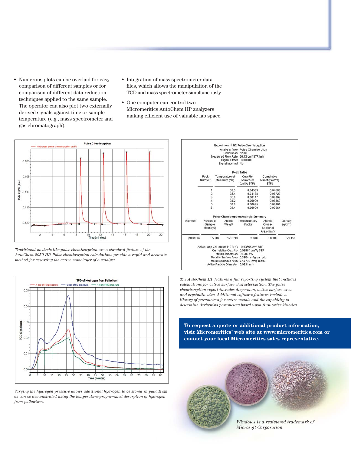- Numerous plots can be overlaid for easy comparison of different samples or for comparison of different data reduction techniques applied to the same sample. The operator can also plot two externally derived signals against time or sample temperature (e.g., mass spectrometer and gas chromatograph).
- Integration of mass spectrometer data files, which allows the manipulation of the TCD and mass spectrometer simultaneously.
- One computer can control two Micromeritics AutoChem HP analyzers making efficient use of valuable lab space.



*Traditional methods like pulse chemisorption are a standard feature of the AutoChem 2950 HP. Pulse chemisorption calculations provide a rapid and accurate method for assessing the active monolayer of a catalyst.* 



*Varying the hydrogen pressure allows additional hydrogen to be stored in palladium as can be demonstrated using the temperature-programmed desorption of hydrogen from palladium.*

|          |                    |        | Calibration: None<br>Signal Offset 0.00000 | Experiment 1: H2 Pulse Chemisorption<br>Analysis Type: Pulse Chemisorption<br>Measured Flow Rate: 50.13 cm <sup>3</sup> STP/min |                                                    |                      |  |
|----------|--------------------|--------|--------------------------------------------|---------------------------------------------------------------------------------------------------------------------------------|----------------------------------------------------|----------------------|--|
|          |                    |        | Signal Inverted: No                        |                                                                                                                                 |                                                    |                      |  |
|          | Peak Table         |        |                                            |                                                                                                                                 |                                                    |                      |  |
|          | Peak<br>Number     |        | Temperature at<br>Maximum (°C)             | Quantity<br>Adsorbed<br>(cm <sup>3</sup> /q STP)                                                                                | Cumulative<br>Quantity (cm <sup>3</sup> /g<br>STP) |                      |  |
|          | 1<br>$\frac{2}{3}$ |        | 36.3<br>35.4                               | 0.04583<br>0.04138                                                                                                              | 0.04583<br>0.08722                                 |                      |  |
|          |                    |        | 35.0                                       | 0.00147                                                                                                                         | 0.08869                                            |                      |  |
|          | $\frac{4}{5}$      |        | 34.2<br>33.6                               | 0.00000<br>0.00095                                                                                                              | 0.08869<br>0.08964                                 |                      |  |
|          | ß.                 |        | 33.1                                       | 0.00000                                                                                                                         | 0.08964                                            |                      |  |
|          |                    |        |                                            | <b>Pulse Chemisorption Analysis Summary</b>                                                                                     |                                                    |                      |  |
| Element  | Percent of         |        | Atomic                                     | Stoichiometry                                                                                                                   | Atomic                                             | Density              |  |
|          | Sample<br>Mass (%) |        | Weight                                     | Factor                                                                                                                          | Cross-<br>Sectional<br>Area (nm <sup>3</sup> )     | (q/cm <sup>3</sup> ) |  |
| platinum |                    | 0.5000 | 195,090                                    | 2.000                                                                                                                           | 0.0800                                             | 21.450               |  |
|          |                    |        |                                            | Active Loop Volume at 110.8 °C: 0.03595 cm <sup>3</sup> STP                                                                     |                                                    |                      |  |
|          |                    |        |                                            | Cumulative Quantity: 0.08964 cm3/g STP                                                                                          |                                                    |                      |  |
|          |                    |        | Metal Dispersion: 31.2077%                 |                                                                                                                                 |                                                    |                      |  |
|          |                    |        |                                            | Metallic Surface Area: 0.3854 m <sup>2</sup> /g sample                                                                          |                                                    |                      |  |
|          |                    |        | Active Particle Diameter: 3.6291 nm        | Metallic Surface Area: 77.0779 m <sup>2</sup> /o metal                                                                          |                                                    |                      |  |

*The AutoChem HP features a full reporting system that includes calculations for active surface characterization. The pulse chemisorption report includes dispersion, active surface area, and crystallite size. Additional software features include a library of parameters for active metals and the capability to determine Arrhenius parameters based upon first-order kinetics.*

**To request a quote or additional product information, visit Micromeritics' web site at www.micromeritics.com or contact your local Micromeritics sales representative.**